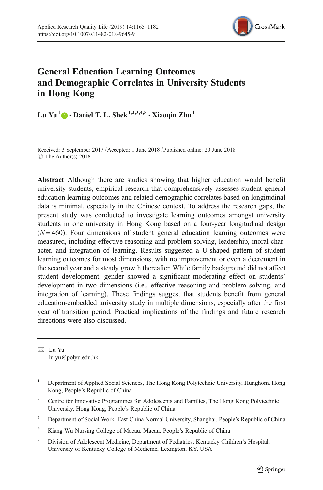

# General Education Learning Outcomes and Demographic Correlates in University Students in Hong Kong

Lu Yu<sup>1</sup>  $\bullet$  · Daniel T. L. Shek<sup>1,2,3,4,5</sup> · Xiaoqin Zhu<sup>1</sup>

Received: 3 September 2017 /Accepted: 1 June 2018 /Published online: 20 June 2018 $\circ$  The Author(s) 2018

Abstract Although there are studies showing that higher education would benefit university students, empirical research that comprehensively assesses student general education learning outcomes and related demographic correlates based on longitudinal data is minimal, especially in the Chinese context. To address the research gaps, the present study was conducted to investigate learning outcomes amongst university students in one university in Hong Kong based on a four-year longitudinal design  $(N = 460)$ . Four dimensions of student general education learning outcomes were measured, including effective reasoning and problem solving, leadership, moral character, and integration of learning. Results suggested a U-shaped pattern of student learning outcomes for most dimensions, with no improvement or even a decrement in the second year and a steady growth thereafter. While family background did not affect student development, gender showed a significant moderating effect on students' development in two dimensions (i.e., effective reasoning and problem solving, and integration of learning). These findings suggest that students benefit from general education-embedded university study in multiple dimensions, especially after the first year of transition period. Practical implications of the findings and future research directions were also discussed.

 $\boxtimes$  Lu Yu [lu.yu@polyu.edu.hk](mailto:lu.yu@polyu.edu.hk)

<sup>5</sup> Division of Adolescent Medicine, Department of Pediatrics, Kentucky Children's Hospital, University of Kentucky College of Medicine, Lexington, KY, USA

<sup>&</sup>lt;sup>1</sup> Department of Applied Social Sciences, The Hong Kong Polytechnic University, Hunghom, Hong Kong, People's Republic of China

<sup>&</sup>lt;sup>2</sup> Centre for Innovative Programmes for Adolescents and Families, The Hong Kong Polytechnic University, Hong Kong, People's Republic of China

<sup>&</sup>lt;sup>3</sup> Department of Social Work, East China Normal University, Shanghai, People's Republic of China

<sup>4</sup> Kiang Wu Nursing College of Macau, Macau, People's Republic of China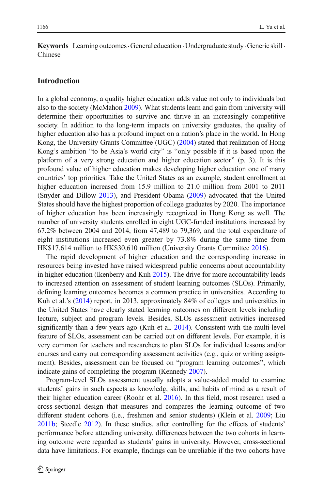Keywords Learning outcomes · General education · Undergraduate study · Generic skill · Chinese

### Introduction

In a global economy, a quality higher education adds value not only to individuals but also to the society (McMahon [2009\)](#page-16-0). What students learn and gain from university will determine their opportunities to survive and thrive in an increasingly competitive society. In addition to the long-term impacts on university graduates, the quality of higher education also has a profound impact on a nation's place in the world. In Hong Kong, the University Grants Committee (UGC) [\(2004\)](#page-17-0) stated that realization of Hong Kong's ambition "to be Asia's world city" is "only possible if it is based upon the platform of a very strong education and higher education sector"  $(p. 3)$ . It is this profound value of higher education makes developing higher education one of many countries' top priorities. Take the United States as an example, student enrollment at higher education increased from 15.9 million to 21.0 million from 2001 to 2011 (Snyder and Dillow [2013](#page-17-0)), and President Obama [\(2009](#page-16-0)) advocated that the United States should have the highest proportion of college graduates by 2020. The importance of higher education has been increasingly recognized in Hong Kong as well. The number of university students enrolled in eight UGC-funded institutions increased by 67.2% between 2004 and 2014, from 47,489 to 79,369, and the total expenditure of eight institutions increased even greater by 73.8% during the same time from HK\$17,614 million to HK\$30,610 million (University Grants Committee [2016\)](#page-17-0).

The rapid development of higher education and the corresponding increase in resources being invested have raised widespread public concerns about accountability in higher education (Ikenberry and Kuh [2015](#page-15-0)). The drive for more accountability leads to increased attention on assessment of student learning outcomes (SLOs). Primarily, defining learning outcomes becomes a common practice in universities. According to Kuh et al.'s [\(2014\)](#page-16-0) report, in 2013, approximately 84% of colleges and universities in the United States have clearly stated learning outcomes on different levels including lecture, subject and program levels. Besides, SLOs assessment activities increased significantly than a few years ago (Kuh et al. [2014\)](#page-16-0). Consistent with the multi-level feature of SLOs, assessment can be carried out on different levels. For example, it is very common for teachers and researchers to plan SLOs for individual lessons and/or courses and carry out corresponding assessment activities (e.g., quiz or writing assignment). Besides, assessment can be focused on "program learning outcomes", which indicate gains of completing the program (Kennedy [2007\)](#page-15-0).

Program-level SLOs assessment usually adopts a value-added model to examine students' gains in such aspects as knowledg, skills, and habits of mind as a result of their higher education career (Roohr et al. [2016\)](#page-16-0). In this field, most research used a cross-sectional design that measures and compares the learning outcome of two different student cohorts (i.e., freshmen and senior students) (Klein et al. [2009](#page-15-0); Liu [2011b](#page-16-0); Steedle [2012\)](#page-17-0). In these studies, after controlling for the effects of students' performance before attending university, differences between the two cohorts in learning outcome were regarded as students' gains in university. However, cross-sectional data have limitations. For example, findings can be unreliable if the two cohorts have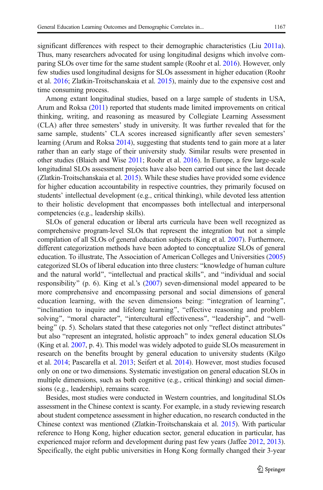significant differences with respect to their demographic characteristics (Liu [2011a\)](#page-16-0). Thus, many researchers advocated for using longitudinal designs which involve comparing SLOs over time for the same student sample (Roohr et al. [2016\)](#page-16-0). However, only few studies used longitudinal designs for SLOs assessment in higher education (Roohr et al. [2016;](#page-16-0) Zlatkin-Troitschanskaia et al. [2015](#page-17-0)), mainly due to the expensive cost and time consuming process.

Among extant longitudinal studies, based on a large sample of students in USA, Arum and Roksa [\(2011](#page-15-0)) reported that students made limited improvements on critical thinking, writing, and reasoning as measured by Collegiate Learning Assessment (CLA) after three semesters' study in university. It was further revealed that for the same sample, students' CLA scores increased significantly after seven semesters' learning (Arum and Roksa [2014\)](#page-15-0), suggesting that students tend to gain more at a later rather than an early stage of their university study. Similar results were presented in other studies (Blaich and Wise [2011](#page-15-0); Roohr et al. [2016\)](#page-16-0). In Europe, a few large-scale longitudinal SLOs assessment projects have also been carried out since the last decade (Zlatkin-Troitschanskaia et al. [2015\)](#page-17-0). While these studies have provided some evidence for higher education accountability in respective countries, they primarily focused on students' intellectual development (e.g., critical thinking), while devoted less attention to their holistic development that encompasses both intellectual and interpersonal competencies (e.g., leadership skills).

SLOs of general education or liberal arts curricula have been well recognized as comprehensive program-level SLOs that represent the integration but not a simple compilation of all SLOs of general education subjects (King et al. [2007](#page-15-0)). Furthermore, different categorization methods have been adopted to conceptualize SLOs of general education. To illustrate, The Association of American Colleges and Universities ([2005](#page-15-0)) categorized SLOs of liberal education into three clusters: "knowledge of human culture and the natural world", "intellectual and practical skills", and "individual and social responsibility" (p. 6). King et al.'s  $(2007)$  $(2007)$  $(2007)$  seven-dimensional model appeared to be more comprehensive and encompassing personal and social dimensions of general education learning, with the seven dimensions being: "integration of learning", "inclination to inquire and lifelong learning", "effective reasoning and problem solving", "moral character", "intercultural effectiveness", "leadership", and "wellbeing" (p. 5). Scholars stated that these categories not only "reflect distinct attributes" but also "represent an integrated, holistic approach" to index general education SLOs (King et al. [2007](#page-15-0), p. 4). This model was widely adpoted to guide SLOs measurement in research on the benefits brought by general education to university students (Kilgo et al. [2014;](#page-15-0) Pascarella et al. [2013;](#page-16-0) Seifert et al. [2014](#page-16-0)). However, most studies focused only on one or two dimensions. Systematic investigation on general education SLOs in multiple dimensions, such as both cognitive (e.g., critical thinking) and social dimensions (e.g., leadership), remains scarce.

Besides, most studies were conducted in Western countries, and longitudinal SLOs assessment in the Chinese context is scanty. For example, in a study reviewing research about student competence assessment in higher education, no research conducted in the Chinese context was mentioned (Zlatkin-Troitschanskaia et al. [2015](#page-17-0)). With particular reference to Hong Kong, higher education sector, general education in particular, has experienced major reform and development during past few years (Jaffee [2012](#page-15-0), [2013\)](#page-15-0). Specifically, the eight public universities in Hong Kong formally changed their 3-year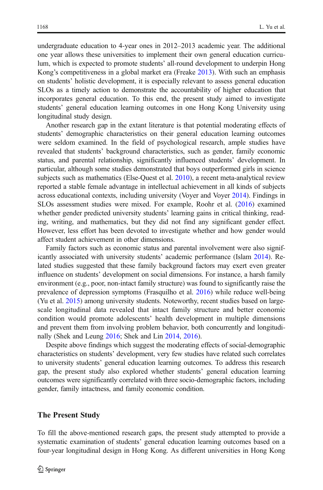undergraduate education to 4-year ones in 2012–2013 academic year. The additional one year allows these universities to implement their own general education curriculum, which is expected to promote students' all-round development to underpin Hong Kong's competitiveness in a global market era (Freake [2013\)](#page-15-0). With such an emphasis on students' holistic development, it is especially relevant to assess general education SLOs as a timely action to demonstrate the accountability of higher education that incorporates general education. To this end, the present study aimed to investigate students' general education learning outcomes in one Hong Kong University using longitudinal study design.

Another research gap in the extant literature is that potential moderating effects of students' demographic characteristics on their general education learning outcomes were seldom examined. In the field of psychological research, ample studies have revealed that students' background characteristics, such as gender, family economic status, and parental relationship, significantly influenced students' development. In particular, although some studies demonstrated that boys outperformed girls in science subjects such as mathematics (Else-Quest et al. [2010](#page-15-0)), a recent meta-analytical review reported a stable female advantage in intellectual achievement in all kinds of subjects across educational contexts, including university (Voyer and Voyer [2014](#page-17-0)). Findings in SLOs assessment studies were mixed. For example, Roohr et al. ([2016](#page-16-0)) examined whether gender predicted university students' learning gains in critical thinking, reading, writing, and mathematics, but they did not find any significant gender effect. However, less effort has been devoted to investigate whether and how gender would affect student achievement in other dimensions.

Family factors such as economic status and parental involvement were also significantly associated with university students' academic performance (Islam [2014](#page-15-0)). Related studies suggested that these family background factors may exert even greater influence on students' development on social dimensions. For instance, a harsh family environment (e.g., poor, non-intact family structure) was found to significantly raise the prevalence of depression symptoms (Frasquilho et al. [2016](#page-15-0)) while reduce well-being (Yu et al. [2015](#page-17-0)) among university students. Noteworthy, recent studies based on largescale longitudinal data revealed that intact family structure and better economic condition would promote adolescents' health development in multiple dimensions and prevent them from involving problem behavior, both concurrently and longitudinally (Shek and Leung [2016](#page-16-0); Shek and Lin [2014](#page-16-0), [2016](#page-16-0)).

Despite above findings which suggest the moderating effects of social-demographic characteristics on students' development, very few studies have related such correlates to university students' general education learning outcomes. To address this research gap, the present study also explored whether students' general education learning outcomes were significantly correlated with three socio-demographic factors, including gender, family intactness, and family economic condition.

## The Present Study

To fill the above-mentioned research gaps, the present study attempted to provide a systematic examination of students' general education learning outcomes based on a four-year longitudinal design in Hong Kong. As different universities in Hong Kong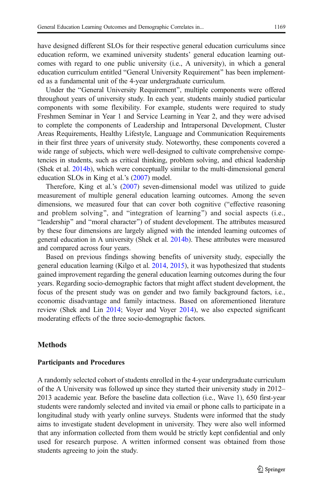have designed different SLOs for their respective general education curriculums since education reform, we examined university students' general education learning outcomes with regard to one public university (i.e., A university), in which a general education curriculum entitled "General University Requirement" has been implemented as a fundamental unit of the 4-year undergraduate curriculum.

Under the "General University Requirement", multiple components were offered throughout years of university study. In each year, students mainly studied particular components with some flexibility. For example, students were required to study Freshmen Seminar in Year 1 and Service Learning in Year 2, and they were advised to complete the components of Leadership and Intrapersonal Development, Cluster Areas Requirements, Healthy Lifestyle, Language and Communication Requirements in their first three years of university study. Noteworthy, these components covered a wide range of subjects, which were well-designed to cultivate comprehensive competencies in students, such as critical thinking, problem solving, and ethical leadership (Shek et al. [2014b\)](#page-16-0), which were conceptually similar to the multi-dimensional general education SLOs in King et al.'s [\(2007\)](#page-15-0) model.

Therefore, King et al.'s ([2007\)](#page-15-0) seven-dimensional model was utilized to guide measurement of multiple general education learning outcomes. Among the seven dimensions, we measured four that can cover both cognitive ("effective reasoning and problem solving", and "integration of learning") and social aspects (i.e., "leadership" and "moral character") of student development. The attributes measured by these four dimensions are largely aligned with the intended learning outcomes of general education in A university (Shek et al. [2014b\)](#page-16-0). These attributes were measured and compared across four years.

Based on previous findings showing benefits of university study, especially the general education learning (Kilgo et al. [2014](#page-15-0), [2015](#page-15-0)), it was hypothesized that students gained improvement regarding the general education learning outcomes during the four years. Regarding socio-demographic factors that might affect student development, the focus of the present study was on gender and two family background factors, i.e., economic disadvantage and family intactness. Based on aforementioned literature review (Shek and Lin [2014](#page-16-0); Voyer and Voyer [2014\)](#page-17-0), we also expected significant moderating effects of the three socio-demographic factors.

### Methods

#### Participants and Procedures

A randomly selected cohort of students enrolled in the 4-year undergraduate curriculum of the A University was followed up since they started their university study in 2012– 2013 academic year. Before the baseline data collection (i.e., Wave 1), 650 first-year students were randomly selected and invited via email or phone calls to participate in a longitudinal study with yearly online surveys. Students were informed that the study aims to investigate student development in university. They were also well informed that any information collected from them would be strictly kept confidential and only used for research purpose. A written informed consent was obtained from those students agreeing to join the study.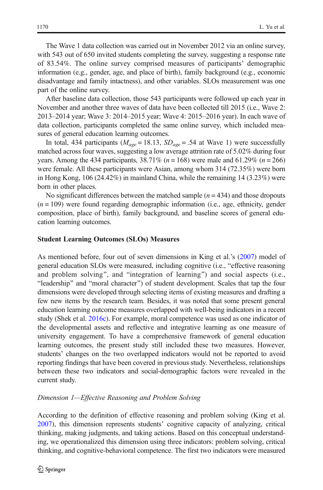The Wave 1 data collection was carried out in November 2012 via an online survey, with 543 out of 650 invited students completing the survey, suggesting a response rate of 83.54%. The online survey comprised measures of participants' demographic information (e.g., gender, age, and place of birth), family background (e.g., economic disadvantage and family intactness), and other variables. SLOs measurement was one part of the online survey.

After baseline data collection, those 543 participants were followed up each year in November and another three waves of data have been collected till 2015 (i.e., Wave 2: 2013–2014 year; Wave 3: 2014–2015 year; Wave 4: 2015–2016 year). In each wave of data collection, participants completed the same online survey, which included measures of general education learning outcomes.

In total, 434 participants ( $M_{age} = 18.13$ ,  $SD_{age} = .54$  at Wave 1) were successfully matched across four waves, suggesting a low average attrition rate of 5.02% during four years. Among the 434 participants,  $38.71\%$  ( $n = 168$ ) were male and 61.29% ( $n = 266$ ) were female. All these participants were Asian, among whom 314 (72.35%) were born in Hong Kong, 106 (24.42%) in mainland China, while the remaining 14 (3.23%) were born in other places.

No significant differences between the matched sample  $(n = 434)$  and those dropouts  $(n = 109)$  were found regarding demographic information (i.e., age, ethnicity, gender composition, place of birth), family background, and baseline scores of general education learning outcomes.

#### Student Learning Outcomes (SLOs) Measures

As mentioned before, four out of seven dimensions in King et al.'s [\(2007\)](#page-15-0) model of general education SLOs were measured, including cognitive (i.e., "effective reasoning and problem solving", and "integration of learning") and social aspects (i.e., "leadership" and "moral character") of student development. Scales that tap the four dimensions were developed through selecting items of existing measures and drafting a few new items by the research team. Besides, it was noted that some present general education learning outcome measures overlapped with well-being indicators in a recent study (Shek et al. [2016c](#page-17-0)). For example, moral competence was used as one indicator of the developmental assets and reflective and integrative learning as one measure of university engagement. To have a comprehensive framework of general education learning outcomes, the present study still included these two measures. However, students' changes on the two overlapped indicators would not be reported to avoid reporting findings that have been covered in previous study. Nevertheless, relationships between these two indicators and social-demographic factors were revealed in the current study.

#### Dimension 1—Effective Reasoning and Problem Solving

According to the definition of effective reasoning and problem solving (King et al. [2007\)](#page-15-0), this dimension represents students' cognitive capacity of analyzing, critical thinking, making judgments, and taking actions. Based on this conceptual understanding, we operationalized this dimension using three indicators: problem solving, critical thinking, and cognitive-behavioral competence. The first two indicators were measured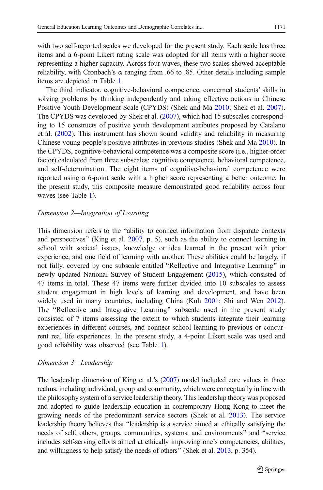with two self-reported scales we developed for the present study. Each scale has three items and a 6-point Likert rating scale was adopted for all items with a higher score representing a higher capacity. Across four waves, these two scales showed acceptable reliability, with Cronbach's  $\alpha$  ranging from .66 to .85. Other details including sample items are depicted in Table [1.](#page-7-0)

The third indicator, cognitive-behavioral competence, concerned students' skills in solving problems by thinking independently and taking effective actions in Chinese Positive Youth Development Scale (CPYDS) (Shek and Ma [2010;](#page-16-0) Shek et al. [2007\)](#page-16-0). The CPYDS was developed by Shek et al. ([2007](#page-16-0)), which had 15 subscales corresponding to 15 constructs of positive youth development attributes proposed by Catalano et al. ([2002](#page-15-0)). This instrument has shown sound validity and reliability in measuring Chinese young people's positive attributes in previous studies (Shek and Ma [2010\)](#page-16-0). In the CPYDS, cognitive-behavioral competence was a composite score (i.e., higher-order factor) calculated from three subscales: cognitive competence, behavioral competence, and self-determination. The eight items of cognitive-behavioral competence were reported using a 6-point scale with a higher score representing a better outcome. In the present study, this composite measure demonstrated good reliability across four waves (see Table [1\)](#page-7-0).

### Dimension 2—Integration of Learning

This dimension refers to the "ability to connect information from disparate contexts" and perspectives" (King et al.  $2007$ , p. 5), such as the ability to connect learning in school with societal issues, knowledge or idea learned in the present with prior experience, and one field of learning with another. These abilities could be largely, if not fully, covered by one subscale entitled "Reflective and Integrative Learning" in newly updated National Survey of Student Engagement [\(2015\)](#page-16-0), which consisted of 47 items in total. These 47 items were further divided into 10 subscales to assess student engagement in high levels of learning and development, and have been widely used in many countries, including China (Kuh [2001;](#page-15-0) Shi and Wen [2012\)](#page-17-0). The "Reflective and Integrative Learning" subscale used in the present study consisted of 7 items assessing the extent to which students integrate their learning experiences in different courses, and connect school learning to previous or concurrent real life experiences. In the present study, a 4-point Likert scale was used and good reliability was observed (see Table [1](#page-7-0)).

#### Dimension 3—Leadership

The leadership dimension of King et al.'s [\(2007\)](#page-15-0) model included core values in three realms, including individual, group and community, which were conceptually in line with the philosophy system of a service leadership theory. This leadership theory was proposed and adopted to guide leadership education in contemporary Hong Kong to meet the growing needs of the predominant service sectors (Shek et al. [2013](#page-16-0)). The service leadership theory believes that "leadership is a service aimed at ethically satisfying the needs of self, others, groups, communities, systems, and environments" and "service includes self-serving efforts aimed at ethically improving one's competencies, abilities, and willingness to help satisfy the needs of others" (Shek et al. [2013,](#page-16-0) p. 354).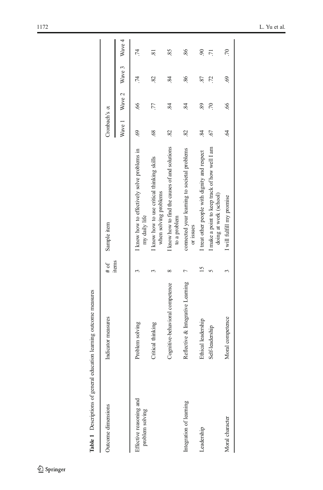<span id="page-7-0"></span>

| Outcome dimensions                                | Indicator measures                | # of<br>items | Sample item                                                             | Cronbach's $\alpha$       |                          |                     |                |
|---------------------------------------------------|-----------------------------------|---------------|-------------------------------------------------------------------------|---------------------------|--------------------------|---------------------|----------------|
|                                                   |                                   |               |                                                                         |                           | Wave $1$ Wave $2$ Wave 3 |                     | Wave 4         |
| <b>Effective</b> reasoning and<br>problem solving | Problem solving                   |               | I know how to effectively solve problems in<br>my daily life            | 69                        | $\ddot{\mathrm{66}}$     | $\ddot{z}$          | 74             |
|                                                   | Critical thinking                 |               | I know how to use critical thinking skills<br>when solving problems     | $\frac{8}{3}$             | .77                      | 82                  | $\overline{8}$ |
|                                                   | Cognitive-behavioral competence   | ∝             | I know how to find the causes of and solutions<br>to a problem          | 82                        | 84                       | 84                  | 85             |
| Integration of learning                           | Reflective & Integrative Learning |               | connected your learning to societal problems<br>or issues               | 82                        | $\ddot{\mathrm{8}}$      | 86                  | 86             |
| cadership                                         | Ethical leadership                | $^{15}$       | I treat other people with dignity and respect                           | $\overline{84}$           | 89                       | 87                  | 90             |
|                                                   | Self-leadership                   |               | I make a point to keep track of how well I am<br>doing at work (school) | .67                       | .70                      | 72.                 |                |
| Moral character                                   | Moral competence                  |               | I will fulfill my promise                                               | $\widetilde{\mathcal{C}}$ | $\mathcal{S}$            | $\ddot{\mathrm{e}}$ | .70            |
|                                                   |                                   |               |                                                                         |                           |                          |                     |                |

Table 1 Descriptions of general education learning outcome measures Table 1 Descriptions of general education learning outcome measures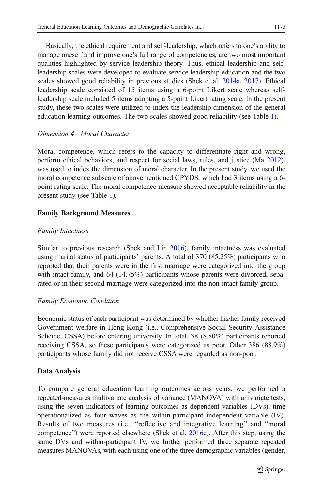Basically, the ethical requirement and self-leadership, which refers to one's ability to manage oneself and improve one's full range of competencies, are two most important qualities highlighted by service leadership theory. Thus, ethical leadership and selfleadership scales were developed to evaluate service leadership education and the two scales showed good reliability in previous studies (Shek et al. [2014a](#page-16-0), [2017\)](#page-17-0). Ethical leadership scale consisted of 15 items using a 6-point Likert scale whereas selfleadership scale included 5 items adopting a 5-point Likert rating scale. In the present study, these two scales were utilized to index the leadership dimension of the general education learning outcomes. The two scales showed good reliability (see Table [1](#page-7-0)).

# Dimension 4—Moral Character

Moral competence, which refers to the capacity to differentiate right and wrong, perform ethical behaviors, and respect for social laws, rules, and justice (Ma [2012\)](#page-16-0), was used to index the dimension of moral character. In the present study, we used the moral competence subscale of abovementioned CPYDS, which had 3 items using a 6 point rating scale. The moral competence measure showed acceptable reliability in the present study (see Table [1](#page-7-0)).

# Family Background Measures

# Family Intactness

Similar to previous research (Shek and Lin [2016\)](#page-16-0), family intactness was evaluated using marital status of participants' parents. A total of 370 (85.25%) participants who reported that their parents were in the first marriage were categorized into the group with intact family, and 64 (14.75%) participants whose parents were divorced, separated or in their second marriage were categorized into the non-intact family group.

# Family Economic Condition

Economic status of each participant was determined by whether his/her family received Government welfare in Hong Kong (i.e., Comprehensive Social Security Assistance Scheme, CSSA) before entering university. In total, 38 (8.80%) participants reported receiving CSSA, so these participants were categorized as poor. Other 386 (88.9%) participants whose family did not receive CSSA were regarded as non-poor.

# Data Analysis

To compare general education learning outcomes across years, we performed a repeated-measures multivariate analysis of variance (MANOVA) with univariate tests, using the seven indicators of learning outcomes as dependent variables (DVs), time operationalized as four waves as the within-participant independent variable (IV). Results of two measures (i.e., "reflective and integrative learning" and "moral competence") were reported elsewhere (Shek et al.  $2016c$ ). After this step, using the same DVs and within-participant IV, we further performed three separate repeated measures MANOVAs, with each using one of the three demographic variables (gender,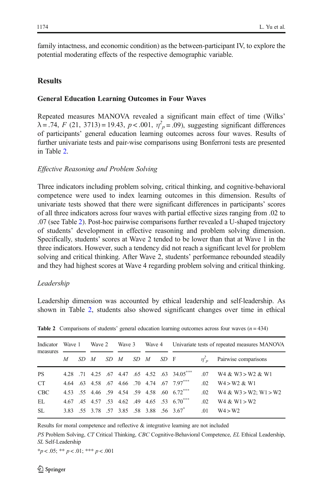family intactness, and economic condition) as the between-participant IV, to explore the potential moderating effects of the respective demographic variable.

# **Results**

### General Education Learning Outcomes in Four Waves

Repeated measures MANOVA revealed a significant main effect of time (Wilks'  $\lambda = .74$ ,  $F(21, 3713) = 19.43$ ,  $p < .001$ ,  $\eta^2 = .09$ ), suggesting significant differences of participants' general education learning outcomes across four waves. Results of further univariate tests and pair-wise comparisons using Bonferroni tests are presented in Table 2.

### Effective Reasoning and Problem Solving

Three indicators including problem solving, critical thinking, and cognitive-behavioral competence were used to index learning outcomes in this dimension. Results of univariate tests showed that there were significant differences in participants' scores of all three indicators across four waves with partial effective sizes ranging from .02 to .07 (see Table 2). Post-hoc pairwise comparisons further revealed a U-shaped trajectory of students' development in effective reasoning and problem solving dimension. Specifically, students' scores at Wave 2 tended to be lower than that at Wave 1 in the three indicators. However, such a tendency did not reach a significant level for problem solving and critical thinking. After Wave 2, students' performance rebounded steadily and they had highest scores at Wave 4 regarding problem solving and critical thinking.

#### Leadership

Leadership dimension was accounted by ethical leadership and self-leadership. As shown in Table 2, students also showed significant changes over time in ethical

|           |         |  |  |  |  |  |  |  | Indicator Wave 1 Wave 2 Wave 3 Wave 4 Univariate tests of repeated measures MANOVA |             |                                                     |
|-----------|---------|--|--|--|--|--|--|--|------------------------------------------------------------------------------------|-------------|-----------------------------------------------------|
| measures  | $M_{-}$ |  |  |  |  |  |  |  |                                                                                    |             | SD M SD M SD M SD F $\eta_p^2$ Pairwise comparisons |
| <b>PS</b> |         |  |  |  |  |  |  |  | 4.28 .71 4.25 .67 4.47 .65 4.52 .63 34.05                                          | $\sqrt{07}$ | W4 & W3 > W2 & W1                                   |
| <b>CT</b> |         |  |  |  |  |  |  |  | 4.64 .63 4.58 .67 4.66 .70 4.74 .67 7.97                                           | $\Omega$    | $W4 > W2$ & W1                                      |
| CBC       |         |  |  |  |  |  |  |  | 4.53 .55 4.46 .59 4.54 .59 4.58 .60 6.72 <sup>***</sup>                            | .02         | W4 & W3 > W2; W1 > W2                               |
| EL        |         |  |  |  |  |  |  |  | 4.67 4.5 4.57 53 4.62 49 4.65 53 6.70 <sup>***</sup>                               | .02         | W4 & W1 > W2                                        |
| SL        |         |  |  |  |  |  |  |  | 3.83 55 3.78 57 3.85 58 3.88 56 3.67 01                                            |             | W4 > W2                                             |

**Table 2** Comparisons of students' general education learning outcomes across four waves  $(n = 434)$ 

Results for moral competence and reflective & integrative learning are not included

PS Problem Solving, CT Critical Thinking, CBC Cognitive-Behavioral Competence, EL Ethical Leadership, SL Self-Leadership

 $*_{p < .05;}$  \*\*  $p < .01;$  \*\*\*  $p < .001$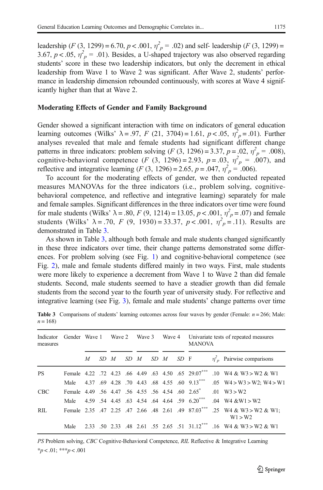leadership (*F* (3, 1299) = 6.70, *p* < .001,  $\eta_p^2$  = .02) and self-leadership (*F* (3, 1299) = 3.67,  $p < .05$ ,  $\eta_p^2 = .01$ ). Besides, a U-shaped trajectory was also observed regarding students' score in these two leadership indicators, but only the decrement in ethical leadership from Wave 1 to Wave 2 was significant. After Wave 2, students' performance in leadership dimension rebounded continuously, with scores at Wave 4 significantly higher than that at Wave 2.

#### Moderating Effects of Gender and Family Background

Gender showed a significant interaction with time on indicators of general education learning outcomes (Wilks'  $\lambda = .97$ ,  $F(21, 3704) = 1.61$ ,  $p < .05$ ,  $\eta_p^2 = .01$ ). Further analyses revealed that male and female students had significant different change patterns in three indicators: problem solving (*F* (3, 1296) = 3.37,  $p = 0.02$ ,  $\eta_p^2 = 0.008$ ), cognitive-behavioral competence (*F* (3, 1296) = 2.93,  $p = .03, \eta^2_p = .007$ ), and reflective and integrative learning (*F* (3, 1296) = 2.65, *p* = .047,  $\eta_p^2$  = .006).

To account for the moderating effects of gender, we then conducted repeated measures MANOVAs for the three indicators (i.e., problem solving, cognitivebehavioral competence, and reflective and integrative learning) separately for male and female samples. Significant differences in the three indicators over time were found for male students (Wilks'  $\lambda = .80$ ,  $F(9, 1214) = 13.05$ ,  $p < .001$ ,  $\eta^2 = .07$ ) and female students (Wilks'  $\lambda = .70$ , F (9, 1930) = 33.37, p < .001,  $\eta_{p}^{2} = .11$ ). Results are demonstrated in Table 3.

As shown in Table 3, although both female and male students changed significantly in these three indicators over time, their change patterns demonstrated some differences. For problem solving (see Fig. [1\)](#page-11-0) and cognitive-behavioral competence (see Fig. [2\)](#page-11-0), male and female students differed mainly in two ways. First, male students were more likely to experience a decrement from Wave 1 to Wave 2 than did female students. Second, male students seemed to have a steadier growth than did female students from the second year to the fourth year of university study. For reflective and integrative learning (see Fig. [3\)](#page-12-0), female and male students' change patterns over time

| Indicator<br>measures |                                                              |   |  |      |  |      |  |           |  | Gender Wave 1 Wave 2 Wave 3 Wave 4 Univariate tests of repeated measures<br><b>MANOVA</b> |  |                                                                                |
|-----------------------|--------------------------------------------------------------|---|--|------|--|------|--|-----------|--|-------------------------------------------------------------------------------------------|--|--------------------------------------------------------------------------------|
|                       |                                                              | M |  | SD M |  | SD M |  | SD M SD F |  |                                                                                           |  | $\eta_p^2$ Pairwise comparisons                                                |
| <b>PS</b>             |                                                              |   |  |      |  |      |  |           |  | Female 4.22 .72 4.23 .66 4.49 .63 4.50 .65 29.07 <sup>***</sup>                           |  | $10$ W4 & W3 > W2 & W1                                                         |
|                       | Male                                                         |   |  |      |  |      |  |           |  | 4.37 .69 4.28 .70 4.43 .68 4.55 .60 9.13***                                               |  | $.05$ W4 > W3 > W2; W4 > W1                                                    |
| <b>CBC</b>            | Female 4.49 .56 4.47 .56 4.55 .56 4.54 .60 2.65 <sup>*</sup> |   |  |      |  |      |  |           |  |                                                                                           |  | $.01$ W <sub>3</sub> > W <sub>2</sub>                                          |
|                       | Male                                                         |   |  |      |  |      |  |           |  | 4.59 .54 4.45 .63 4.54 .64 4.64 .59 6.20 <sup>***</sup>                                   |  | $.04$ W4 &W1 > W2                                                              |
| RII.                  |                                                              |   |  |      |  |      |  |           |  | Female 2.35 .47 2.25 .47 2.66 .48 2.61 .49 87.03***                                       |  | $.25$ W4 & W3 > W2 & W1:<br>W1 > W2                                            |
|                       | Male                                                         |   |  |      |  |      |  |           |  |                                                                                           |  | 2.33 .50 2.33 .48 2.61 .55 2.65 .51 31.12 <sup>***</sup> .16 W4 & W3 > W2 & W1 |

**Table 3** Comparisons of students' learning outcomes across four waves by gender (Female:  $n = 266$ ; Male:  $n = 168$ 

PS Problem solving, CBC Cognitive-Behavioral Competence, RIL Reflective & Integrative Learning  $*_{p < .01;}$  \*\*\* $p < .001$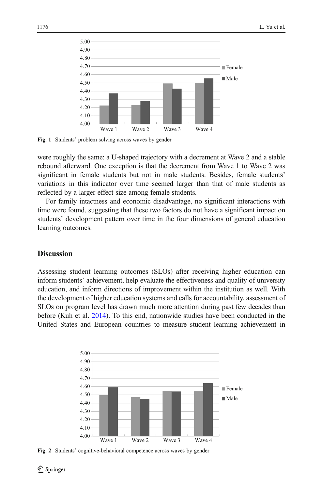<span id="page-11-0"></span>

Fig. 1 Students' problem solving across waves by gender

were roughly the same: a U-shaped trajectory with a decrement at Wave 2 and a stable rebound afterward. One exception is that the decrement from Wave 1 to Wave 2 was significant in female students but not in male students. Besides, female students' variations in this indicator over time seemed larger than that of male students as reflected by a larger effect size among female students.

For family intactness and economic disadvantage, no significant interactions with time were found, suggesting that these two factors do not have a significant impact on students' development pattern over time in the four dimensions of general education learning outcomes.

# **Discussion**

Assessing student learning outcomes (SLOs) after receiving higher education can inform students' achievement, help evaluate the effectiveness and quality of university education, and inform directions of improvement within the institution as well. With the development of higher education systems and calls for accountability, assessment of SLOs on program level has drawn much more attention during past few decades than before (Kuh et al. [2014](#page-16-0)). To this end, nationwide studies have been conducted in the United States and European countries to measure student learning achievement in



Fig. 2 Students' cognitive-behavioral competence across waves by gender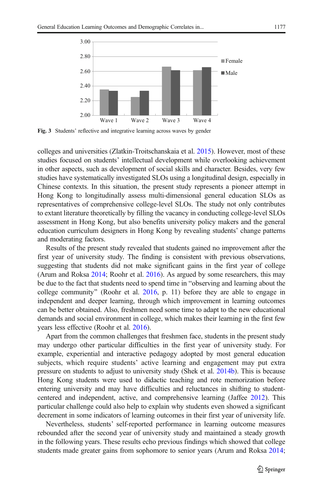<span id="page-12-0"></span>

Fig. 3 Students' reflective and integrative learning across waves by gender

colleges and universities (Zlatkin-Troitschanskaia et al. [2015\)](#page-17-0). However, most of these studies focused on students' intellectual development while overlooking achievement in other aspects, such as development of social skills and character. Besides, very few studies have systematically investigated SLOs using a longitudinal design, especially in Chinese contexts. In this situation, the present study represents a pioneer attempt in Hong Kong to longitudinally assess multi-dimensional general education SLOs as representatives of comprehensive college-level SLOs. The study not only contributes to extant literature theoretically by filling the vacancy in conducting college-level SLOs assessment in Hong Kong, but also benefits university policy makers and the general education curriculum designers in Hong Kong by revealing students' change patterns and moderating factors.

Results of the present study revealed that students gained no improvement after the first year of university study. The finding is consistent with previous observations, suggesting that students did not make significant gains in the first year of college (Arum and Roksa [2014;](#page-15-0) Roohr et al. [2016](#page-16-0)). As argued by some researchers, this may be due to the fact that students need to spend time in "observing and learning about the college community" (Roohr et al.  $2016$ , p. 11) before they are able to engage in independent and deeper learning, through which improvement in learning outcomes can be better obtained. Also, freshmen need some time to adapt to the new educational demands and social environment in college, which makes their learning in the first few years less effective (Roohr et al. [2016](#page-16-0)).

Apart from the common challenges that freshmen face, students in the present study may undergo other particular difficulties in the first year of university study. For example, experiential and interactive pedagogy adopted by most general education subjects, which require students' active learning and engagement may put extra pressure on students to adjust to university study (Shek et al. [2014b](#page-16-0)). This is because Hong Kong students were used to didactic teaching and rote memorization before entering university and may have difficulties and reluctances in shifting to studentcentered and independent, active, and comprehensive learning (Jaffee [2012\)](#page-15-0). This particular challenge could also help to explain why students even showed a significant decrement in some indicators of learning outcomes in their first year of university life.

Nevertheless, students' self-reported performance in learning outcome measures rebounded after the second year of university study and maintained a steady growth in the following years. These results echo previous findings which showed that college students made greater gains from sophomore to senior years (Arum and Roksa [2014;](#page-15-0)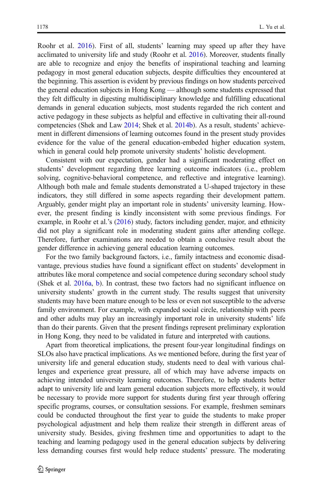Roohr et al. [2016](#page-16-0)). First of all, students' learning may speed up after they have acclimated to university life and study (Roohr et al. [2016\)](#page-16-0). Moreover, students finally are able to recognize and enjoy the benefits of inspirational teaching and learning pedagogy in most general education subjects, despite difficulties they encountered at the beginning. This assertion is evident by previous findings on how students perceived the general education subjects in Hong Kong — although some students expressed that they felt difficulty in digesting multidisciplinary knowledge and fulfilling educational demands in general education subjects, most students regarded the rich content and active pedagogy in these subjects as helpful and effective in cultivating their all-round competencies (Shek and Law [2014](#page-16-0); Shek et al. [2014b](#page-16-0)). As a result, students' achievement in different dimensions of learning outcomes found in the present study provides evidence for the value of the general education-embeded higher education system, which in general could help promote university students' holistic development.

Consistent with our expectation, gender had a significant moderating effect on students' development regarding three learning outcome indicators (i.e., problem solving, cognitive-behavioral competence, and reflective and integrative learning). Although both male and female students demonstrated a U-shaped trajectory in these indicators, they still differed in some aspects regarding their development pattern. Arguably, gender might play an important role in students' university learning. However, the present finding is kindly inconsistent with some previous findings. For example, in Roohr et al.'s ([2016](#page-16-0)) study, factors including gender, major, and ethnicity did not play a significant role in moderating student gains after attending college. Therefore, further examinations are needed to obtain a conclusive result about the gender difference in achieving general education learning outcomes.

For the two family background factors, i.e., family intactness and economic disadvantage, previous studies have found a significant effect on students' development in attributes like moral competence and social competence during secondary school study (Shek et al. [2016a](#page-16-0), [b](#page-17-0)). In contrast, these two factors had no significant influence on university students' growth in the current study. The results suggest that university students may have been mature enough to be less or even not susceptible to the adverse family environment. For example, with expanded social circle, relationship with peers and other adults may play an increasingly important role in university students' life than do their parents. Given that the present findings represent preliminary exploration in Hong Kong, they need to be validated in future and interpreted with cautions.

Apart from theoretical implications, the present four-year longitudinal findings on SLOs also have practical implications. As we mentioned before, during the first year of university life and general education study, students need to deal with various challenges and experience great pressure, all of which may have adverse impacts on achieving intended university learning outcomes. Therefore, to help students better adapt to university life and learn general education subjects more effectively, it would be necessary to provide more support for students during first year through offering specific programs, courses, or consultation sessions. For example, freshmen seminars could be conducted throughout the first year to guide the students to make proper psychological adjustment and help them realize their strength in different areas of university study. Besides, giving freshmen time and opportunities to adapt to the teaching and learning pedagogy used in the general education subjects by delivering less demanding courses first would help reduce students' pressure. The moderating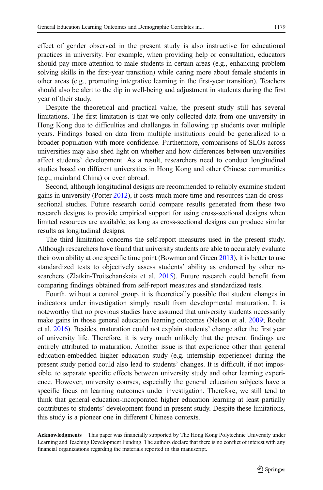effect of gender observed in the present study is also instructive for educational practices in university. For example, when providing help or consultation, educators should pay more attention to male students in certain areas (e.g., enhancing problem solving skills in the first-year transition) while caring more about female students in other areas (e.g., promoting integrative learning in the first-year transition). Teachers should also be alert to the dip in well-being and adjustment in students during the first year of their study.

Despite the theoretical and practical value, the present study still has several limitations. The first limitation is that we only collected data from one university in Hong Kong due to difficulties and challenges in following up students over multiple years. Findings based on data from multiple institutions could be generalized to a broader population with more confidence. Furthermore, comparisons of SLOs across universities may also shed light on whether and how differences between universities affect students' development. As a result, researchers need to conduct longitudinal studies based on different universities in Hong Kong and other Chinese communities (e.g., mainland China) or even abroad.

Second, although longitudinal designs are recommended to reliably examine student gains in university (Porter [2012\)](#page-16-0), it costs much more time and resources than do crosssectional studies. Future research could compare results generated from these two research designs to provide empirical support for using cross-sectional designs when limited resources are available, as long as cross-sectional designs can produce similar results as longitudinal designs.

The third limitation concerns the self-report measures used in the present study. Although researchers have found that university students are able to accurately evaluate their own ability at one specific time point (Bowman and Green [2013\)](#page-15-0), it is better to use standardized tests to objectively assess students' ability as endorsed by other researchers (Zlatkin-Troitschanskaia et al. [2015\)](#page-17-0). Future research could benefit from comparing findings obtained from self-report measures and standardized tests.

Fourth, without a control group, it is theoretically possible that student changes in indicators under investigation simply result from developmental maturation. It is noteworthy that no previous studies have assumed that university students necessarily make gains in those general education learning outcomes (Nelson et al. [2009;](#page-16-0) Roohr et al. [2016](#page-16-0)). Besides, maturation could not explain students' change after the first year of university life. Therefore, it is very much unlikely that the present findings are entirely attributed to maturation. Another issue is that experience other than general education-embedded higher education study (e.g. internship experience) during the present study period could also lead to students' changes. It is difficult, if not impossible, to separate specific effects between university study and other learning experience. However, university courses, especially the general education subjects have a specific focus on learning outcomes under investigation. Therefore, we still tend to think that general education-incorporated higher education learning at least partially contributes to students' development found in present study. Despite these limitations, this study is a pioneer one in different Chinese contexts.

Acknowledgments This paper was financially supported by The Hong Kong Polytechnic University under Learning and Teaching Development Funding. The authors declare that there is no conflict of interest with any financial organizations regarding the materials reported in this manuscript.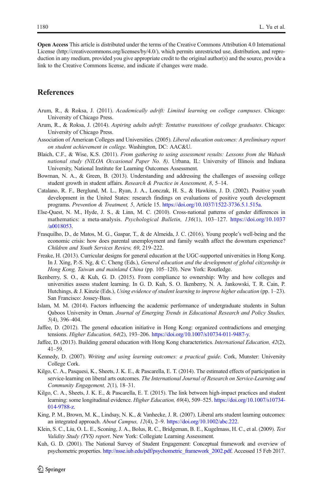<span id="page-15-0"></span>Open Access This article is distributed under the terms of the Creative Commons Attribution 4.0 International License (http://creativecommons.org/licenses/by/4.0/), which permits unrestricted use, distribution, and reproduction in any medium, provided you give appropriate credit to the original author(s) and the source, provide a link to the Creative Commons license, and indicate if changes were made.

## **References**

- Arum, R., & Roksa, J. (2011). Academically adrift: Limited learning on college campuses. Chicago: University of Chicago Press.
- Arum, R., & Roksa, J. (2014). Aspiring adults adrift: Tentative transitions of college graduates. Chicago: University of Chicago Press.
- Association of American Colleges and Universities. (2005). Liberal education outcomes: A preliminary report on student achievement in college. Washington, DC: AAC&U.
- Blaich, C.F., & Wise, K.S. (2011). From gathering to using assessment results: Lessons from the Wabash national study (NILOA Occasional Paper No. 8). Urbana, IL: University of Illinois and Indiana University, National Institute for Learning Outcomes Assessment.
- Bowman, N. A., & Green, B. (2013). Understanding and addressing the challenges of assessing college student growth in student affairs. Research & Practice in Assessment, 8, 5–14.
- Catalano, R. F., Berglund, M. L., Ryan, J. A., Lonczak, H. S., & Hawkins, J. D. (2002). Positive youth development in the United States: research findings on evaluations of positive youth development programs. Prevention & Treatment, 5, Article 15. [https://doi.org/10.1037/1522-3736.5.1.515a.](https://doi.org/10.1037/1522-3736.5.1.515a)
- Else-Quest, N. M., Hyde, J. S., & Linn, M. C. (2010). Cross-national patterns of gender differences in mathematics: a meta-analysis. Psychological Bulletin, 136(1), 103–127. [https://doi.org/10.1037](https://doi.org/10.1037/a0018053) [/a0018053.](https://doi.org/10.1037/a0018053)
- Frasquilho, D., de Matos, M. G., Gaspar, T., & de Almeida, J. C. (2016). Young people's well-being and the economic crisis: how does parental unemployment and family wealth affect the downturn experience? Children and Youth Services Review, 69, 219–222.
- Freake, H. (2013). Curricular designs for general education at the UGC-supported universities in Hong Kong. In J. Xing, P.-S. Ng, & C. Cheng (Eds.), General education and the development of global citizenship in Hong Kong, Taiwan and mainland China (pp. 105–120). New York: Routledge.
- Ikenberry, S. O., & Kuh, G. D. (2015). From compliance to ownership: Why and how colleges and universities assess student learning. In G. D. Kuh, S. O. Ikenberry, N. A. Jankowski, T. R. Cain, P. Hutchings, & J. Kinzie (Eds.), Using evidence of student learning to improve higher education (pp. 1–23). San Francisco: Jossey-Bass.
- Islam, M. M. (2014). Factors influencing the academic performance of undergraduate students in Sultan Qaboos University in Oman. Journal of Emerging Trends in Educational Research and Policy Studies, 5(4), 396–404.
- Jaffee, D. (2012). The general education initiative in Hong Kong: organized contradictions and emerging tensions. Higher Education, 64(2), 193–206. [https://doi.org/10.1007/s10734-011-9487-y.](https://doi.org/10.1007/s10734-011-9487-y)
- Jaffee, D. (2013). Building general education with Hong Kong characteristics. International Education, 42(2), 41–59.
- Kennedy, D. (2007). Writing and using learning outcomes: a practical guide. Cork, Munster: University College Cork.
- Kilgo, C. A., Pasquesi, K., Sheets, J. K. E., & Pascarella, E. T. (2014). The estimated effects of participation in service-learning on liberal arts outcomes. The International Journal of Research on Service-Learning and Community Engagement, 2(1), 18–31.
- Kilgo, C. A., Sheets, J. K. E., & Pascarella, E. T. (2015). The link between high-impact practices and student learning: some longitudinal evidence. Higher Education, 69(4), 509–525. [https://doi.org/10.1007/s10734-](https://doi.org/10.1007/s10734-014-9788-z) [014-9788-z](https://doi.org/10.1007/s10734-014-9788-z).
- King, P. M., Brown, M. K., Lindsay, N. K., & Vanhecke, J. R. (2007). Liberal arts student learning outcomes: an integrated approach. About Campus, 12(4), 2–9. <https://doi.org/10.1002/abc.222>.
- Klein, S. C., Liu, O. L. E., Sconing, J. A., Bolus, R. C., Bridgeman, B. E., Kugelmass, H. C., et al. (2009). Test Validity Study (TVS) report. New York: Collegiate Learning Assessment.
- Kuh, G. D. (2001). The National Survey of Student Engagement: Conceptual framework and overview of psychometric properties. [http://nsse.iub.edu/pdf/psychometric\\_framework\\_2002.pdf.](http://nsse.iub.edu/pdf/psychometric_framework_2002.pdf) Accessed 15 Feb 2017.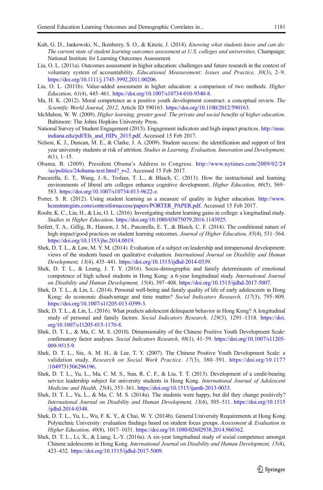- <span id="page-16-0"></span>Kuh, G. D., Jankowski, N., Ikenberry, S. O., & Kinzie, J. (2014). Knowing what students know and can do: The current state of student learning outcomes assessment at U.S. colleges and universities. Champaign: National Institute for Learning Outcomes Assessment.
- Liu, O. L. (2011a). Outcomes assessment in higher education: challenges and future research in the context of voluntary system of accountability. Educational Measurement: Issues and Practice, 30(3), 2–9. <https://doi.org/10.1111/j.1745-3992.2011.00206>.
- Liu, O. L. (2011b). Value-added assessment in higher education: a comparison of two methods. *Higher* Education, 61(4), 445–461. [https://doi.org/10.1007/s10734-010-9340-8.](https://doi.org/10.1007/s10734-010-9340-8)
- Ma, H. K. (2012). Moral competence as a positive youth development construct: a conceptual review. The Scientific World Journal, 2012, Article ID 590163. <https://doi.org/10.1100/2012/590163>.
- McMahon, W. W. (2009). Higher learning, greater good: The private and social benefits of higher education. Baltimore: The Johns Hopkins University Press.
- National Survey of Student Engagement (2015). Engagement indicators and high-impact practices. [http://nsse.](http://nsse.indiana.edu/pdf/EIs_and_HIPs_2015.pdf) [indiana.edu/pdf/EIs\\_and\\_HIPs\\_2015.pdf.](http://nsse.indiana.edu/pdf/EIs_and_HIPs_2015.pdf) Accessed 15 Feb 2017.
- Nelson, K. J., Duncan, M. E., & Clarke, J. A. (2009). Student success: the identification and support of first year university students at risk of attrition. Studies in Learning, Evaluation, Innovation and Development,  $6(1)$ , 1–15.
- Obama, B. (2009). President Obama's Address to Congress. [http://www.nytimes.com/2009/02/24](http://www.nytimes.com/2009/02/24/us/politics/24obama-text.html?_r=2) [/us/politics/24obama-text.html?\\_r=2](http://www.nytimes.com/2009/02/24/us/politics/24obama-text.html?_r=2). Accessed 15 Feb 2017.
- Pascarella, E. T., Wang, J.-S., Trolian, T. L., & Blaich, C. (2013). How the instructional and learning environments of liberal arts colleges enhance cognitive development. *Higher Education*, 66(5), 569– 583. <https://doi.org/10.1007/s10734-013-9622-z>.
- Porter, S. R. (2012). Using student learning as a measure of quality in higher education. [http://www.](http://www.hcmstrategists.com/contextforsuccess/papers/PORTER_PAPER.pdf) [hcmstrategists.com/contextforsuccess/papers/PORTER\\_PAPER.pdf.](http://www.hcmstrategists.com/contextforsuccess/papers/PORTER_PAPER.pdf) Accessed 15 Feb 2017.
- Roohr, K. C., Liu, H., & Liu, O. L. (2016). Investigating student learning gains in college: a longitudinal study. Studies in Higher Education. [https://doi.org/10.1080/03075079.2016.1143925.](https://doi.org/10.1080/03075079.2016.1143925)
- Seifert, T. A., Gillig, B., Hanson, J. M., Pascarella, E. T., & Blaich, C. F. (2014). The conditional nature of high impact/good practices on student learning outcomes. Journal of Higher Education, 85(4), 531–564. <https://doi.org/10.1353/jhe.2014.0019>.
- Shek, D. T. L., & Law, M. Y. M. (2014). Evaluation of a subject on leadership and intrapersonal development: views of the students based on qualitative evaluation. International Journal on Disability and Human Development, 13(4), 435–441. [https://doi.org/10.1515/ijdhd-2014-0339.](https://doi.org/10.1515/ijdhd-2014-0339)
- Shek, D. T. L., & Leung, J. T. Y. (2016). Socio-demographic and family determinants of emotional competence of high school students in Hong Kong: a 6-year longitudinal study. International Journal on Disability and Human Development, 15(4), 397–408. <https://doi.org/10.1515/ijdhd-2017-5007>.
- Shek, D. T. L., & Lin, L. (2014). Personal well-being and family quality of life of early adolescents in Hong Kong: do economic disadvantage and time matter? Social Indicators Research, 117(3), 795–809. <https://doi.org/10.1007/s11205-013-0399-3>.
- Shek, D. T. L., & Lin, L. (2016). What predicts adolescent delinquent behavior in Hong Kong? A longitudinal study of personal and family factors. Social Indicators Research, 129(3), 1291–1318. [https://doi.](https://doi.org/10.1007/s11205-015-1170-8) [org/10.1007/s11205-015-1170-8.](https://doi.org/10.1007/s11205-015-1170-8)
- Shek, D. T. L., & Ma, C. M. S. (2010). Dimensionality of the Chinese Positive Youth Development Scale: confirmatory factor analyses. Social Indicators Research, 98(1), 41–59. [https://doi.org/10.1007/s11205-](https://doi.org/10.1007/s11205-009-9515-9) [009-9515-9.](https://doi.org/10.1007/s11205-009-9515-9)
- Shek, D. T. L., Siu, A. M. H., & Lee, T. Y. (2007). The Chinese Positive Youth Development Scale: a validation study. Research on Social Work Practice, 17(3), 380–391. [https://doi.org/10.1177](https://doi.org/10.1177/1049731506296196) [/1049731506296196](https://doi.org/10.1177/1049731506296196).
- Shek, D. T. L., Yu, L., Ma, C. M. S., Sun, R. C. F., & Liu, T. T. (2013). Development of a credit-bearing service leadership subject for university students in Hong Kong. International Journal of Adolescent Medicine and Health, 25(4), 353–361. <https://doi.org/10.1515/ijamh-2013-0033>.
- Shek, D. T. L., Yu, L., & Ma, C. M. S. (2014a). The students were happy, but did they change positively? International Journal on Disability and Human Development, 13(4), 505–511. [https://doi.org/10.1515](https://doi.org/10.1515/ijdhd-2014-0348) [/ijdhd-2014-0348.](https://doi.org/10.1515/ijdhd-2014-0348)
- Shek, D. T. L., Yu, L., Wu, F. K. Y., & Chai, W. Y. (2014b). General University Requirements at Hong Kong Polytechnic University: evaluation findings based on student focus groups. Assessment & Evaluation in Higher Education, 40(8), 1017–1031. <https://doi.org/10.1080/02602938.2014.960362>.
- Shek, D. T. L., Li, X., & Liang, L.-Y. (2016a). A six-year longitudinal study of social competence amongst Chinese adolescents in Hong Kong. International Journal on Disability and Human Development, 15(4), 423–432. <https://doi.org/10.1515/ijdhd-2017-5009>.